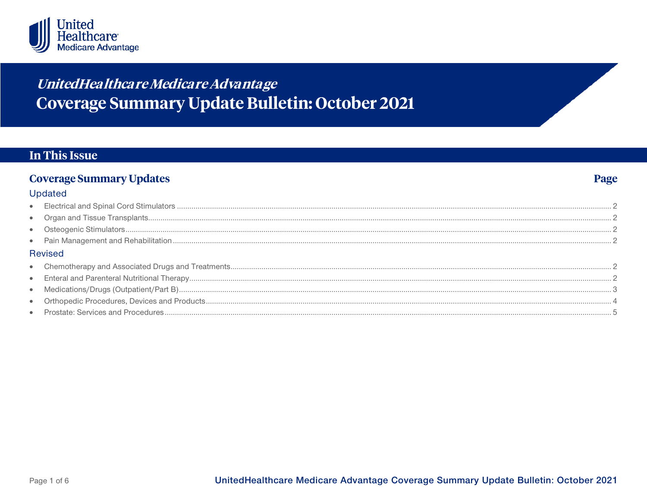

# United Healthcare Medicare Advantage **Coverage Summary Update Bulletin: October 2021**

## **In This Issue**

#### **Coverage Summary Updates** Page Updated  $\bullet$  $\bullet$  $\bullet$ **Revised**  $\bullet$  $\bullet$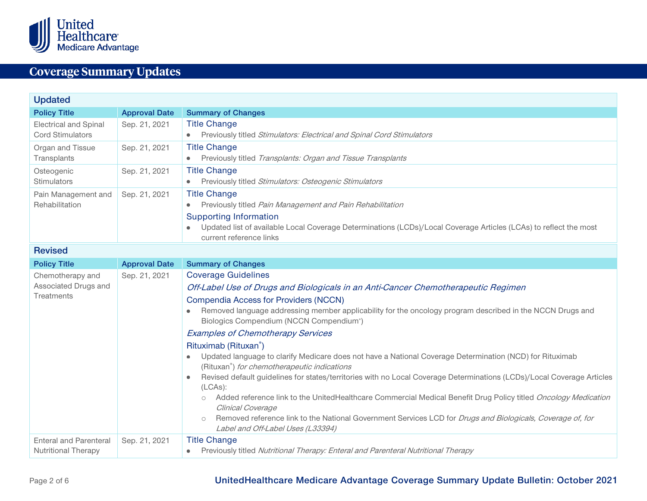

<span id="page-1-6"></span><span id="page-1-5"></span><span id="page-1-4"></span><span id="page-1-3"></span><span id="page-1-2"></span><span id="page-1-1"></span><span id="page-1-0"></span>

| <b>Updated</b>                                              |                      |                                                                                                                                                                                                                                                                                                                                                                                                                                                                                                                                                                                                                                                                                                                                                                                                                                                                                                                                                                                                                                                |  |  |  |
|-------------------------------------------------------------|----------------------|------------------------------------------------------------------------------------------------------------------------------------------------------------------------------------------------------------------------------------------------------------------------------------------------------------------------------------------------------------------------------------------------------------------------------------------------------------------------------------------------------------------------------------------------------------------------------------------------------------------------------------------------------------------------------------------------------------------------------------------------------------------------------------------------------------------------------------------------------------------------------------------------------------------------------------------------------------------------------------------------------------------------------------------------|--|--|--|
| <b>Policy Title</b>                                         | <b>Approval Date</b> | <b>Summary of Changes</b>                                                                                                                                                                                                                                                                                                                                                                                                                                                                                                                                                                                                                                                                                                                                                                                                                                                                                                                                                                                                                      |  |  |  |
| <b>Electrical and Spinal</b><br><b>Cord Stimulators</b>     | Sep. 21, 2021        | <b>Title Change</b><br>Previously titled Stimulators: Electrical and Spinal Cord Stimulators                                                                                                                                                                                                                                                                                                                                                                                                                                                                                                                                                                                                                                                                                                                                                                                                                                                                                                                                                   |  |  |  |
| Organ and Tissue<br>Transplants                             | Sep. 21, 2021        | <b>Title Change</b><br>Previously titled Transplants: Organ and Tissue Transplants<br>$\bullet$                                                                                                                                                                                                                                                                                                                                                                                                                                                                                                                                                                                                                                                                                                                                                                                                                                                                                                                                                |  |  |  |
| Osteogenic<br>Stimulators                                   | Sep. 21, 2021        | <b>Title Change</b><br>Previously titled Stimulators: Osteogenic Stimulators<br>۰                                                                                                                                                                                                                                                                                                                                                                                                                                                                                                                                                                                                                                                                                                                                                                                                                                                                                                                                                              |  |  |  |
| Pain Management and<br>Rehabilitation                       | Sep. 21, 2021        | <b>Title Change</b><br>Previously titled Pain Management and Pain Rehabilitation<br><b>Supporting Information</b><br>Updated list of available Local Coverage Determinations (LCDs)/Local Coverage Articles (LCAs) to reflect the most<br>$\bullet$<br>current reference links                                                                                                                                                                                                                                                                                                                                                                                                                                                                                                                                                                                                                                                                                                                                                                 |  |  |  |
| <b>Revised</b>                                              |                      |                                                                                                                                                                                                                                                                                                                                                                                                                                                                                                                                                                                                                                                                                                                                                                                                                                                                                                                                                                                                                                                |  |  |  |
| <b>Policy Title</b>                                         | <b>Approval Date</b> | <b>Summary of Changes</b>                                                                                                                                                                                                                                                                                                                                                                                                                                                                                                                                                                                                                                                                                                                                                                                                                                                                                                                                                                                                                      |  |  |  |
| Chemotherapy and<br>Associated Drugs and<br>Treatments      | Sep. 21, 2021        | <b>Coverage Guidelines</b><br>Off-Label Use of Drugs and Biologicals in an Anti-Cancer Chemotherapeutic Regimen<br><b>Compendia Access for Providers (NCCN)</b><br>Removed language addressing member applicability for the oncology program described in the NCCN Drugs and<br>Biologics Compendium (NCCN Compendium <sup>®</sup> )<br><b>Examples of Chemotherapy Services</b><br>Rituximab (Rituxan <sup>®</sup> )<br>Updated language to clarify Medicare does not have a National Coverage Determination (NCD) for Rituximab<br>(Rituxan <sup>®</sup> ) for chemotherapeutic indications<br>Revised default guidelines for states/territories with no Local Coverage Determinations (LCDs)/Local Coverage Articles<br>(LCAs):<br>Added reference link to the UnitedHealthcare Commercial Medical Benefit Drug Policy titled Oncology Medication<br>Clinical Coverage<br>Removed reference link to the National Government Services LCD for <i>Drugs and Biologicals, Coverage of, for</i><br>$\circ$<br>Label and Off-Label Uses (L33394) |  |  |  |
| <b>Enteral and Parenteral</b><br><b>Nutritional Therapy</b> | Sep. 21, 2021        | <b>Title Change</b><br>Previously titled Nutritional Therapy: Enteral and Parenteral Nutritional Therapy                                                                                                                                                                                                                                                                                                                                                                                                                                                                                                                                                                                                                                                                                                                                                                                                                                                                                                                                       |  |  |  |

## <span id="page-1-7"></span>Page 2 of 6 **UnitedHealthcare Medicare Advantage Coverage Summary Update Bulletin: October 2021**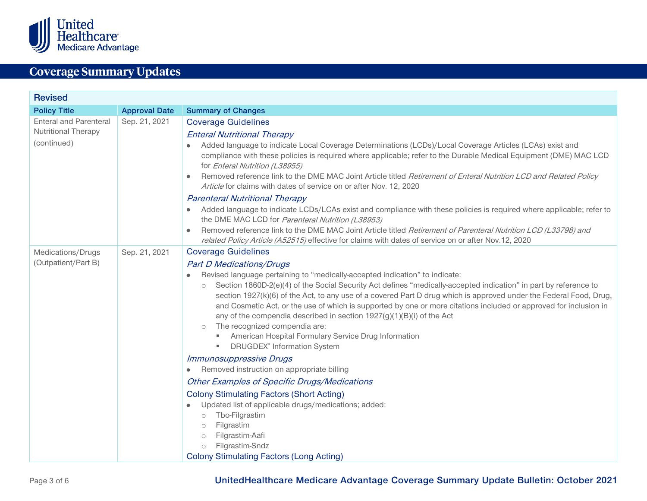

<span id="page-2-0"></span>

| <b>Revised</b>                                                             |                      |                                                                                                                                                                                                                                                                                                                                                                                                                                                                                                                                                                                                                                                                                                                                                                                                                                                                        |  |  |
|----------------------------------------------------------------------------|----------------------|------------------------------------------------------------------------------------------------------------------------------------------------------------------------------------------------------------------------------------------------------------------------------------------------------------------------------------------------------------------------------------------------------------------------------------------------------------------------------------------------------------------------------------------------------------------------------------------------------------------------------------------------------------------------------------------------------------------------------------------------------------------------------------------------------------------------------------------------------------------------|--|--|
| <b>Policy Title</b>                                                        | <b>Approval Date</b> | <b>Summary of Changes</b>                                                                                                                                                                                                                                                                                                                                                                                                                                                                                                                                                                                                                                                                                                                                                                                                                                              |  |  |
| <b>Enteral and Parenteral</b><br><b>Nutritional Therapy</b><br>(continued) | Sep. 21, 2021        | <b>Coverage Guidelines</b><br><b>Enteral Nutritional Therapy</b><br>Added language to indicate Local Coverage Determinations (LCDs)/Local Coverage Articles (LCAs) exist and<br>compliance with these policies is required where applicable; refer to the Durable Medical Equipment (DME) MAC LCD<br>for Enteral Nutrition (L38955)<br>Removed reference link to the DME MAC Joint Article titled Retirement of Enteral Nutrition LCD and Related Policy<br>Article for claims with dates of service on or after Nov. 12, 2020<br><b>Parenteral Nutritional Therapy</b><br>Added language to indicate LCDs/LCAs exist and compliance with these policies is required where applicable; refer to<br>the DME MAC LCD for Parenteral Nutrition (L38953)<br>Removed reference link to the DME MAC Joint Article titled Retirement of Parenteral Nutrition LCD (L33798) and |  |  |
|                                                                            |                      | related Policy Article (A52515) effective for claims with dates of service on or after Nov.12, 2020                                                                                                                                                                                                                                                                                                                                                                                                                                                                                                                                                                                                                                                                                                                                                                    |  |  |
| Medications/Drugs<br>(Outpatient/Part B)                                   | Sep. 21, 2021        | <b>Coverage Guidelines</b><br><b>Part D Medications/Drugs</b><br>Revised language pertaining to "medically-accepted indication" to indicate:<br>Section 1860D-2(e)(4) of the Social Security Act defines "medically-accepted indication" in part by reference to<br>$\circ$<br>section 1927(k)(6) of the Act, to any use of a covered Part D drug which is approved under the Federal Food, Drug,<br>and Cosmetic Act, or the use of which is supported by one or more citations included or approved for inclusion in<br>any of the compendia described in section 1927(g)(1)(B)(i) of the Act<br>The recognized compendia are:<br>$\circ$<br><b>American Hospital Formulary Service Drug Information</b><br><b>DRUGDEX®</b> Information System                                                                                                                       |  |  |
|                                                                            |                      | <b>Immunosuppressive Drugs</b><br>Removed instruction on appropriate billing<br><b>Other Examples of Specific Drugs/Medications</b><br><b>Colony Stimulating Factors (Short Acting)</b><br>Updated list of applicable drugs/medications; added:<br>Tbo-Filgrastim<br>$\circ$<br>Filgrastim<br>$\circ$<br>Filgrastim-Aafi<br>$\circ$<br>Filgrastim-Sndz<br>$\circ$<br><b>Colony Stimulating Factors (Long Acting)</b>                                                                                                                                                                                                                                                                                                                                                                                                                                                   |  |  |

Page 3 of 6 **UnitedHealthcare Medicare Advantage Coverage Summary Update Bulletin: October 2021**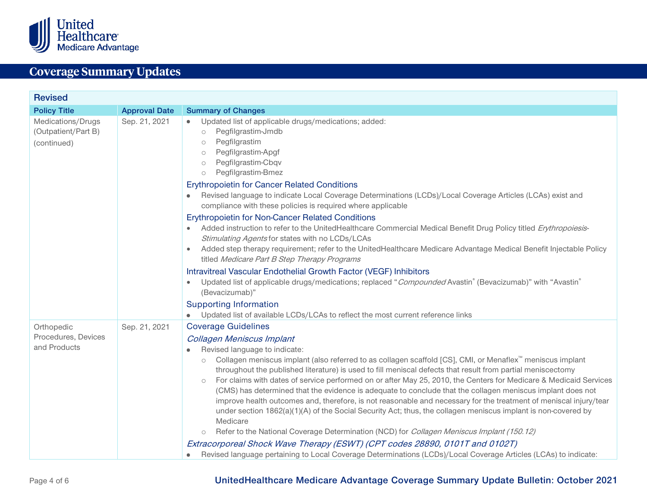

<span id="page-3-0"></span>

| <b>Revised</b>                                          |                      |                                                                                                                                                                                                                                                                                                                                                                                                                                                                                                                                                                                                                                                                                                                                                                                                                                                                                                                                                                                                                                                                                                                                            |  |  |
|---------------------------------------------------------|----------------------|--------------------------------------------------------------------------------------------------------------------------------------------------------------------------------------------------------------------------------------------------------------------------------------------------------------------------------------------------------------------------------------------------------------------------------------------------------------------------------------------------------------------------------------------------------------------------------------------------------------------------------------------------------------------------------------------------------------------------------------------------------------------------------------------------------------------------------------------------------------------------------------------------------------------------------------------------------------------------------------------------------------------------------------------------------------------------------------------------------------------------------------------|--|--|
| <b>Policy Title</b>                                     | <b>Approval Date</b> | <b>Summary of Changes</b>                                                                                                                                                                                                                                                                                                                                                                                                                                                                                                                                                                                                                                                                                                                                                                                                                                                                                                                                                                                                                                                                                                                  |  |  |
| Medications/Drugs<br>(Outpatient/Part B)<br>(continued) | Sep. 21, 2021        | Updated list of applicable drugs/medications; added:<br>۰<br>Pegfilgrastim-Jmdb<br>$\circlearrowright$<br>Pegfilgrastim<br>$\circlearrowright$<br>Pegfilgrastim-Apgf<br>$\circlearrowright$<br>Pegfilgrastim-Cbqv<br>$\circlearrowright$<br>Pegfilgrastim-Bmez<br>$\circlearrowright$                                                                                                                                                                                                                                                                                                                                                                                                                                                                                                                                                                                                                                                                                                                                                                                                                                                      |  |  |
|                                                         |                      | <b>Erythropoietin for Cancer Related Conditions</b><br>Revised language to indicate Local Coverage Determinations (LCDs)/Local Coverage Articles (LCAs) exist and<br>compliance with these policies is required where applicable                                                                                                                                                                                                                                                                                                                                                                                                                                                                                                                                                                                                                                                                                                                                                                                                                                                                                                           |  |  |
|                                                         |                      | <b>Erythropoietin for Non-Cancer Related Conditions</b><br>Added instruction to refer to the UnitedHealthcare Commercial Medical Benefit Drug Policy titled Erythropoiesis-<br>$\bullet$<br>Stimulating Agents for states with no LCDs/LCAs                                                                                                                                                                                                                                                                                                                                                                                                                                                                                                                                                                                                                                                                                                                                                                                                                                                                                                |  |  |
|                                                         |                      | Added step therapy requirement; refer to the UnitedHealthcare Medicare Advantage Medical Benefit Injectable Policy<br>titled Medicare Part B Step Therapy Programs                                                                                                                                                                                                                                                                                                                                                                                                                                                                                                                                                                                                                                                                                                                                                                                                                                                                                                                                                                         |  |  |
|                                                         |                      | Intravitreal Vascular Endothelial Growth Factor (VEGF) Inhibitors<br>Updated list of applicable drugs/medications; replaced "Compounded Avastin" (Bevacizumab)" with "Avastin"<br>(Bevacizumab)"                                                                                                                                                                                                                                                                                                                                                                                                                                                                                                                                                                                                                                                                                                                                                                                                                                                                                                                                           |  |  |
|                                                         |                      | <b>Supporting Information</b><br>Updated list of available LCDs/LCAs to reflect the most current reference links                                                                                                                                                                                                                                                                                                                                                                                                                                                                                                                                                                                                                                                                                                                                                                                                                                                                                                                                                                                                                           |  |  |
| Orthopedic                                              | Sep. 21, 2021        | <b>Coverage Guidelines</b>                                                                                                                                                                                                                                                                                                                                                                                                                                                                                                                                                                                                                                                                                                                                                                                                                                                                                                                                                                                                                                                                                                                 |  |  |
| Procedures, Devices<br>and Products                     |                      | Collagen Meniscus Implant<br>Revised language to indicate:<br>Collagen meniscus implant (also referred to as collagen scaffold [CS], CMI, or Menaflex <sup>™</sup> meniscus implant<br>$\circlearrowright$<br>throughout the published literature) is used to fill meniscal defects that result from partial meniscectomy<br>For claims with dates of service performed on or after May 25, 2010, the Centers for Medicare & Medicaid Services<br>$\circ$<br>(CMS) has determined that the evidence is adequate to conclude that the collagen meniscus implant does not<br>improve health outcomes and, therefore, is not reasonable and necessary for the treatment of meniscal injury/tear<br>under section 1862(a)(1)(A) of the Social Security Act; thus, the collagen meniscus implant is non-covered by<br>Medicare<br>Refer to the National Coverage Determination (NCD) for <i>Collagen Meniscus Implant (150.12)</i><br>$\circ$<br>Extracorporeal Shock Wave Therapy (ESWT) (CPT codes 28890, 0101T and 0102T)<br>Revised language pertaining to Local Coverage Determinations (LCDs)/Local Coverage Articles (LCAs) to indicate: |  |  |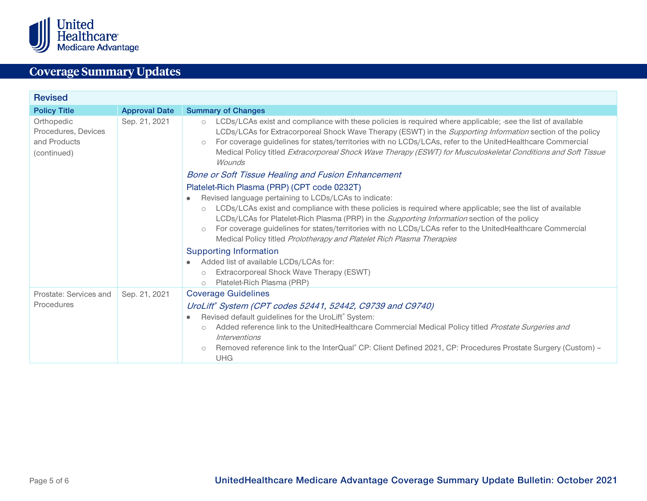

<span id="page-4-0"></span>

| <b>Revised</b>                                                   |                      |                                                                                                                                                                                                                                                                                                                                                                                                                                                                                                                                                       |  |  |
|------------------------------------------------------------------|----------------------|-------------------------------------------------------------------------------------------------------------------------------------------------------------------------------------------------------------------------------------------------------------------------------------------------------------------------------------------------------------------------------------------------------------------------------------------------------------------------------------------------------------------------------------------------------|--|--|
| <b>Policy Title</b>                                              | <b>Approval Date</b> | <b>Summary of Changes</b>                                                                                                                                                                                                                                                                                                                                                                                                                                                                                                                             |  |  |
| Orthopedic<br>Procedures, Devices<br>and Products<br>(continued) | Sep. 21, 2021        | LCDs/LCAs exist and compliance with these policies is required where applicable; -see the list of available<br>$\circ$<br>LCDs/LCAs for Extracorporeal Shock Wave Therapy (ESWT) in the Supporting Information section of the policy<br>For coverage guidelines for states/territories with no LCDs/LCAs, refer to the UnitedHealthcare Commercial<br>$\circ$<br>Medical Policy titled Extracorporeal Shock Wave Therapy (ESWT) for Musculoskeletal Conditions and Soft Tissue<br>Wounds<br><b>Bone or Soft Tissue Healing and Fusion Enhancement</b> |  |  |
|                                                                  |                      | Platelet-Rich Plasma (PRP) (CPT code 0232T)<br>Revised language pertaining to LCDs/LCAs to indicate:<br>LCDs/LCAs exist and compliance with these policies is required where applicable; see the list of available<br>$\circ$<br>LCDs/LCAs for Platelet-Rich Plasma (PRP) in the Supporting Information section of the policy<br>For coverage guidelines for states/territories with no LCDs/LCAs refer to the UnitedHealthcare Commercial<br>$\circ$<br>Medical Policy titled Prolotherapy and Platelet Rich Plasma Therapies                        |  |  |
|                                                                  |                      | <b>Supporting Information</b><br>Added list of available LCDs/LCAs for:<br>Extracorporeal Shock Wave Therapy (ESWT)<br>$\circ$<br>Platelet-Rich Plasma (PRP)<br>$\circ$                                                                                                                                                                                                                                                                                                                                                                               |  |  |
| Prostate: Services and<br>Procedures                             | Sep. 21, 2021        | <b>Coverage Guidelines</b><br>UroLift® System (CPT codes 52441, 52442, C9739 and C9740)<br>Revised default guidelines for the UroLift® System:<br>Added reference link to the UnitedHealthcare Commercial Medical Policy titled Prostate Surgeries and<br>$\circ$<br>Interventions<br>Removed reference link to the InterQual® CP: Client Defined 2021, CP: Procedures Prostate Surgery (Custom) -<br>$\circ$<br><b>UHG</b>                                                                                                                           |  |  |